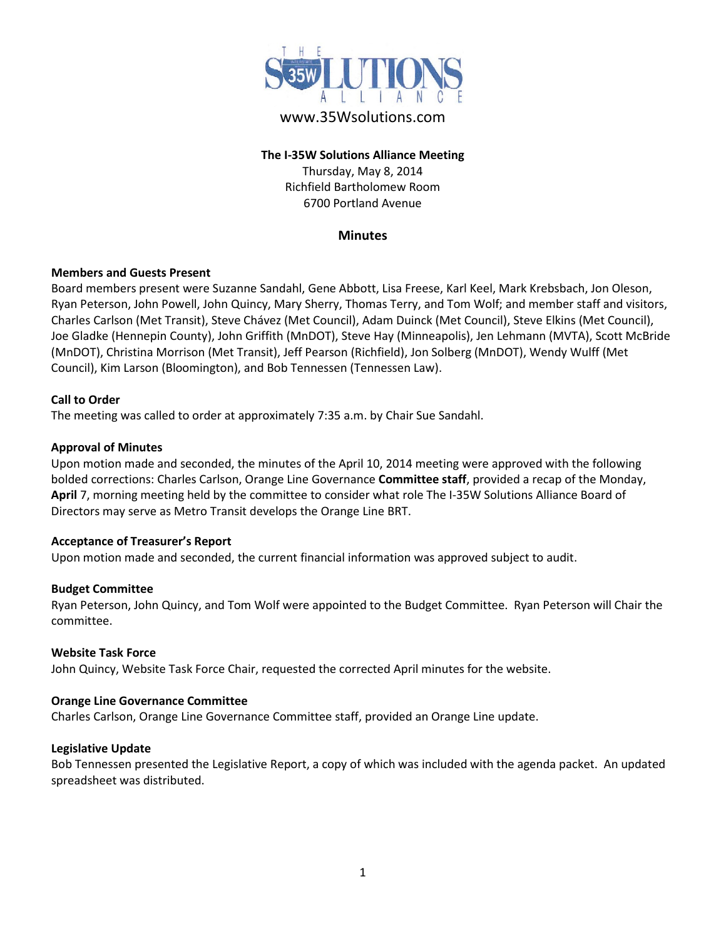

# www.35Wsolutions.com

## **The I-35W Solutions Alliance Meeting** Thursday, May 8, 2014 Richfield Bartholomew Room 6700 Portland Avenue

## **Minutes**

## **Members and Guests Present**

Board members present were Suzanne Sandahl, Gene Abbott, Lisa Freese, Karl Keel, Mark Krebsbach, Jon Oleson, Ryan Peterson, John Powell, John Quincy, Mary Sherry, Thomas Terry, and Tom Wolf; and member staff and visitors, Charles Carlson (Met Transit), Steve Chávez (Met Council), Adam Duinck (Met Council), Steve Elkins (Met Council), Joe Gladke (Hennepin County), John Griffith (MnDOT), Steve Hay (Minneapolis), Jen Lehmann (MVTA), Scott McBride (MnDOT), Christina Morrison (Met Transit), Jeff Pearson (Richfield), Jon Solberg (MnDOT), Wendy Wulff (Met Council), Kim Larson (Bloomington), and Bob Tennessen (Tennessen Law).

#### **Call to Order**

The meeting was called to order at approximately 7:35 a.m. by Chair Sue Sandahl.

#### **Approval of Minutes**

Upon motion made and seconded, the minutes of the April 10, 2014 meeting were approved with the following bolded corrections: Charles Carlson, Orange Line Governance **Committee staff**, provided a recap of the Monday, **April** 7, morning meeting held by the committee to consider what role The I-35W Solutions Alliance Board of Directors may serve as Metro Transit develops the Orange Line BRT.

#### **Acceptance of Treasurer's Report**

Upon motion made and seconded, the current financial information was approved subject to audit.

#### **Budget Committee**

Ryan Peterson, John Quincy, and Tom Wolf were appointed to the Budget Committee. Ryan Peterson will Chair the committee.

#### **Website Task Force**

John Quincy, Website Task Force Chair, requested the corrected April minutes for the website.

#### **Orange Line Governance Committee**

Charles Carlson, Orange Line Governance Committee staff, provided an Orange Line update.

#### **Legislative Update**

Bob Tennessen presented the Legislative Report, a copy of which was included with the agenda packet. An updated spreadsheet was distributed.